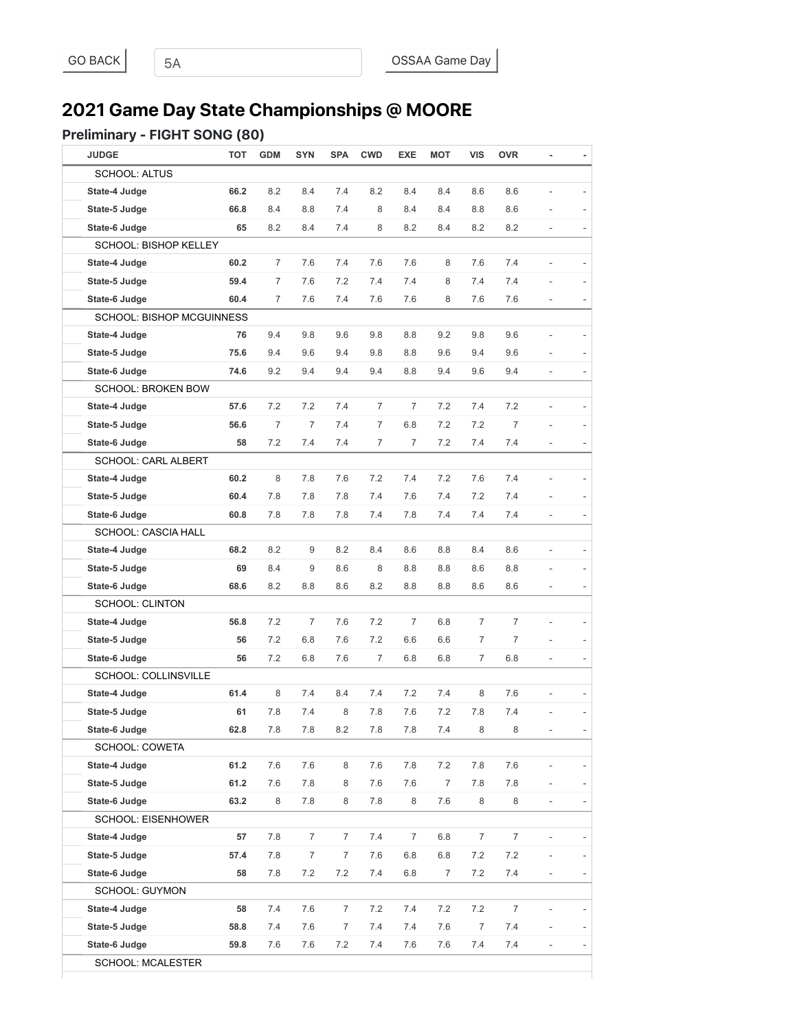# **2021 Game Day State Championships @ MOORE**

#### Preliminary - FIGHT SONG (80)

| <b>JUDGE</b>                     | <b>TOT</b> | <b>GDM</b> | <b>SYN</b>       | SPA            | <b>CWD</b>     | <b>EXE</b>     | <b>MOT</b>     | <b>VIS</b>     | <b>OVR</b>       |                          | ٠              |
|----------------------------------|------------|------------|------------------|----------------|----------------|----------------|----------------|----------------|------------------|--------------------------|----------------|
| <b>SCHOOL: ALTUS</b>             |            |            |                  |                |                |                |                |                |                  |                          |                |
| State-4 Judge                    | 66.2       | 8.2        | 8.4              | 7.4            | 8.2            | 8.4            | 8.4            | 8.6            | 8.6              |                          |                |
| State-5 Judge                    | 66.8       | 8.4        | 8.8              | 7.4            | 8              | 8.4            | 8.4            | 8.8            | 8.6              |                          |                |
| State-6 Judge                    | 65         | 8.2        | 8.4              | 7.4            | 8              | 8.2            | 8.4            | 8.2            | 8.2              | ÷,                       |                |
| SCHOOL: BISHOP KELLEY            |            |            |                  |                |                |                |                |                |                  |                          |                |
| State-4 Judge                    | 60.2       | 7          | 7.6              | 7.4            | 7.6            | 7.6            | 8              | 7.6            | 7.4              | L,                       |                |
| State-5 Judge                    | 59.4       | 7          | 7.6              | 7.2            | 7.4            | 7.4            | 8              | 7.4            | 7.4              |                          |                |
| State-6 Judge                    | 60.4       | 7          | 7.6              | 7.4            | 7.6            | 7.6            | 8              | 7.6            | 7.6              |                          |                |
| <b>SCHOOL: BISHOP MCGUINNESS</b> |            |            |                  |                |                |                |                |                |                  |                          |                |
| State-4 Judge                    | 76         | 9.4        | 9.8              | 9.6            | 9.8            | 8.8            | 9.2            | 9.8            | 9.6              |                          |                |
| State-5 Judge                    | 75.6       | 9.4        | 9.6              | 9.4            | 9.8            | 8.8            | 9.6            | 9.4            | 9.6              |                          |                |
| State-6 Judge                    | 74.6       | 9.2        | 9.4              | 9.4            | 9.4            | 8.8            | 9.4            | 9.6            | 9.4              | L,                       |                |
| <b>SCHOOL: BROKEN BOW</b>        |            |            |                  |                |                |                |                |                |                  |                          |                |
| State-4 Judge                    | 57.6       | 7.2        | 7.2              | 7.4            | 7              | $\overline{7}$ | 7.2            | 7.4            | 7.2              | $\overline{\phantom{0}}$ |                |
| State-5 Judge                    | 56.6       | 7          | $\overline{7}$   | 7.4            | $\overline{7}$ | 6.8            | 7.2            | 7.2            | $\overline{7}$   |                          |                |
| State-6 Judge                    | 58         | 7.2        | 7.4              | 7.4            | 7              | $\overline{7}$ | 7.2            | 7.4            | 7.4              |                          |                |
| <b>SCHOOL: CARL ALBERT</b>       |            |            |                  |                |                |                |                |                |                  |                          |                |
| State-4 Judge                    | 60.2       | 8          | 7.8              | 7.6            | 7.2            | 7.4            | 7.2            | 7.6            | 7.4              |                          |                |
| State-5 Judge                    | 60.4       | 7.8        | 7.8              | 7.8            | 7.4            | 7.6            | 7.4            | 7.2            | 7.4              |                          |                |
| State-6 Judge                    | 60.8       | 7.8        | 7.8              | 7.8            | 7.4            | 7.8            | 7.4            | 7.4            | 7.4              |                          | $\overline{a}$ |
| SCHOOL: CASCIA HALL              |            |            |                  |                |                |                |                |                |                  |                          |                |
| State-4 Judge                    | 68.2       | 8.2        | 9                | 8.2            | 8.4            | 8.6            | 8.8            | 8.4            | 8.6              |                          |                |
| State-5 Judge                    | 69         | 8.4        | 9                | 8.6            | 8              | 8.8            | 8.8            | 8.6            | 8.8              |                          |                |
| State-6 Judge                    | 68.6       | 8.2        | 8.8              | 8.6            | 8.2            | 8.8            | 8.8            | 8.6            | 8.6              |                          |                |
| <b>SCHOOL: CLINTON</b>           |            |            |                  |                |                |                |                |                |                  |                          |                |
| State-4 Judge                    | 56.8       | 7.2        | $\overline{7}$   | 7.6            | 7.2            | $\overline{7}$ | 6.8            | $\overline{7}$ | $\overline{7}$   |                          |                |
| State-5 Judge                    | 56         | 7.2        | 6.8              | 7.6            | 7.2            | 6.6            | 6.6            | 7              | 7                |                          |                |
| State-6 Judge                    | 56         | 7.2        | 6.8              | 7.6            | 7              | 6.8            | 6.8            | $\overline{7}$ | 6.8              |                          |                |
| SCHOOL: COLLINSVILLE             |            |            |                  |                |                |                |                |                |                  |                          |                |
| State-4 Judge                    | 61.4       | 8          | 7.4              | 8.4            | 7.4            | 7.2            | 7.4            | 8              | 7.6              | $\frac{1}{2}$            |                |
| State-5 Judge                    | 61         | 7.8        | 7.4              | 8              | 7.8            | 7.6            | 7.2            | 7.8            | 7.4              |                          |                |
| State-6 Judge                    | 62.8       | 7.8        | $7.8\,$          | $8.2\,$        | $7.8$          | $7.8$          | 7.4            | 8              | 8                |                          |                |
| SCHOOL: COWETA                   |            |            |                  |                |                |                |                |                |                  |                          |                |
| State-4 Judge                    | 61.2       | 7.6        | 7.6              | $\,8\,$        | 7.6            | 7.8            | 7.2            | 7.8            | 7.6              |                          |                |
| State-5 Judge                    | 61.2       | 7.6        | 7.8              | 8              | 7.6            | 7.6            | $\overline{7}$ | 7.8            | 7.8              |                          |                |
| State-6 Judge                    | 63.2       | 8          | 7.8              | 8              | 7.8            | 8              | 7.6            | 8              | 8                | ÷,                       |                |
| SCHOOL: EISENHOWER               |            |            |                  |                |                |                |                |                |                  |                          |                |
| State-4 Judge                    | 57         | 7.8        | $\boldsymbol{7}$ | $\overline{7}$ | 7.4            | $\overline{7}$ | 6.8            | $\overline{7}$ | $\overline{7}$   |                          |                |
| State-5 Judge                    | 57.4       | 7.8        | 7                | $\overline{7}$ | 7.6            | $6.8\,$        | $6.8\,$        | 7.2            | 7.2              |                          |                |
| State-6 Judge                    | 58         | 7.8        | 7.2              | 7.2            | 7.4            | 6.8            | $\overline{7}$ | 7.2            | 7.4              | $\overline{\phantom{a}}$ |                |
| SCHOOL: GUYMON                   |            |            |                  |                |                |                |                |                |                  |                          |                |
| State-4 Judge                    | 58         | 7.4        | 7.6              | $\overline{7}$ | 7.2            | 7.4            | 7.2            | 7.2            | $\boldsymbol{7}$ |                          |                |
| State-5 Judge                    | 58.8       | 7.4        | 7.6              | 7              | 7.4            | 7.4            | 7.6            | $\overline{7}$ | $7.4$            |                          |                |
| State-6 Judge                    | 59.8       | 7.6        | 7.6              | 7.2            | 7.4            | 7.6            | 7.6            | 7.4            | 7.4              |                          |                |
| SCHOOL: MCALESTER                |            |            |                  |                |                |                |                |                |                  |                          |                |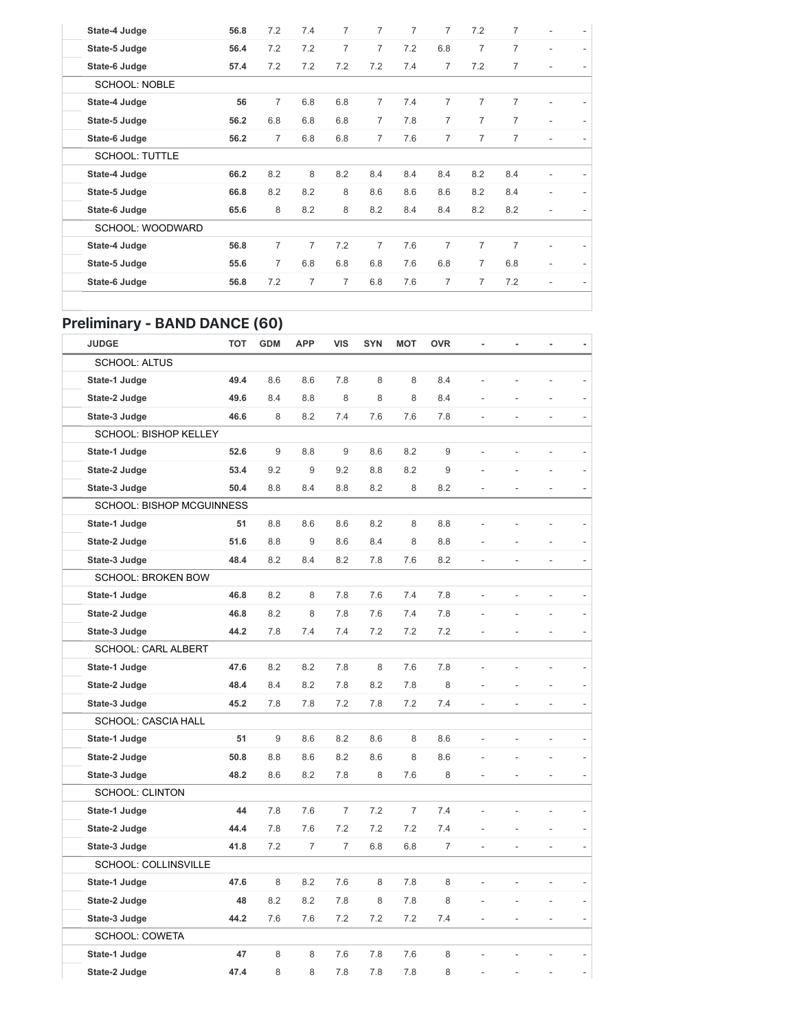| State-4 Judge         | 56.8 | 7.2            | 7.4            | $\overline{7}$ | 7              | $\overline{7}$ | $\overline{7}$ | 7.2            | 7              |                          |                |
|-----------------------|------|----------------|----------------|----------------|----------------|----------------|----------------|----------------|----------------|--------------------------|----------------|
| State-5 Judge         | 56.4 | 7.2            | 7.2            | $\overline{7}$ | $\overline{7}$ | 7.2            | 6.8            | $\overline{7}$ | 7              | ٠                        | $\overline{a}$ |
| State-6 Judge         | 57.4 | 7.2            | 7.2            | 7.2            | 7.2            | 7.4            | 7              | 7.2            | 7              | $\overline{\phantom{0}}$ |                |
| <b>SCHOOL: NOBLE</b>  |      |                |                |                |                |                |                |                |                |                          |                |
| State-4 Judge         | 56   | $\overline{7}$ | 6.8            | 6.8            | $\overline{7}$ | 7.4            | $\overline{7}$ | $\overline{7}$ | $\overline{7}$ |                          |                |
| State-5 Judge         | 56.2 | 6.8            | 6.8            | 6.8            | $\overline{7}$ | 7.8            | $\overline{7}$ | $\overline{7}$ | $\overline{7}$ | ۰                        |                |
| State-6 Judge         | 56.2 | $\overline{7}$ | 6.8            | 6.8            | $\overline{7}$ | 7.6            | $\overline{7}$ | $\overline{7}$ | $\overline{7}$ |                          |                |
| <b>SCHOOL: TUTTLE</b> |      |                |                |                |                |                |                |                |                |                          |                |
| State-4 Judge         | 66.2 | 8.2            | 8              | 8.2            | 8.4            | 8.4            | 8.4            | 8.2            | 8.4            |                          |                |
| State-5 Judge         | 66.8 | 8.2            | 8.2            | 8              | 8.6            | 8.6            | 8.6            | 8.2            | 8.4            | ٠                        |                |
| State-6 Judge         | 65.6 | 8              | 8.2            | 8              | 8.2            | 8.4            | 8.4            | 8.2            | 8.2            |                          |                |
| SCHOOL: WOODWARD      |      |                |                |                |                |                |                |                |                |                          |                |
| State-4 Judge         | 56.8 | $\overline{7}$ | $\overline{7}$ | 7.2            | $\overline{7}$ | 7.6            | $\overline{7}$ | $\overline{7}$ | $\overline{7}$ | ٠                        |                |
| State-5 Judge         | 55.6 | $\overline{7}$ | 6.8            | 6.8            | 6.8            | 7.6            | 6.8            | $\overline{7}$ | 6.8            | ۰                        |                |
| State-6 Judge         | 56.8 | 7.2            | $\overline{7}$ | $\overline{7}$ | 6.8            | 7.6            | 7              | $\overline{7}$ | 7.2            |                          |                |
|                       |      |                |                |                |                |                |                |                |                |                          |                |

### Preliminary - BAND DANCE (60)

| <b>JUDGE</b>               | <b>TOT</b> | <b>GDM</b> | <b>APP</b>     | <b>VIS</b>     | <b>SYN</b> | <b>MOT</b>     | <b>OVR</b> |                | ä,             |                          |  |
|----------------------------|------------|------------|----------------|----------------|------------|----------------|------------|----------------|----------------|--------------------------|--|
| <b>SCHOOL: ALTUS</b>       |            |            |                |                |            |                |            |                |                |                          |  |
| State-1 Judge              | 49.4       | 8.6        | 8.6            | 7.8            | 8          | 8              | 8.4        |                |                |                          |  |
| State-2 Judge              | 49.6       | 8.4        | 8.8            | 8              | 8          | 8              | 8.4        |                |                |                          |  |
| State-3 Judge              | 46.6       | 8          | 8.2            | 7.4            | 7.6        | 7.6            | 7.8        |                |                | L.                       |  |
| SCHOOL: BISHOP KELLEY      |            |            |                |                |            |                |            |                |                |                          |  |
| State-1 Judge              | 52.6       | 9          | 8.8            | 9              | 8.6        | 8.2            | 9          |                |                | L,                       |  |
| State-2 Judge              | 53.4       | 9.2        | 9              | 9.2            | 8.8        | 8.2            | 9          |                |                | L.                       |  |
| State-3 Judge              | 50.4       | 8.8        | 8.4            | 8.8            | 8.2        | 8              | 8.2        |                |                |                          |  |
| SCHOOL: BISHOP MCGUINNESS  |            |            |                |                |            |                |            |                |                |                          |  |
| State-1 Judge              | 51         | 8.8        | 8.6            | 8.6            | 8.2        | 8              | 8.8        |                |                |                          |  |
| State-2 Judge              | 51.6       | 8.8        | 9              | 8.6            | 8.4        | 8              | 8.8        |                |                |                          |  |
| State-3 Judge              | 48.4       | 8.2        | 8.4            | 8.2            | 7.8        | 7.6            | 8.2        | $\overline{a}$ | Ĭ.             | $\overline{\phantom{a}}$ |  |
| SCHOOL: BROKEN BOW         |            |            |                |                |            |                |            |                |                |                          |  |
| State-1 Judge              | 46.8       | 8.2        | 8              | 7.8            | 7.6        | 7.4            | 7.8        | $\overline{a}$ | $\overline{a}$ | $\frac{1}{2}$            |  |
| State-2 Judge              | 46.8       | 8.2        | 8              | 7.8            | 7.6        | 7.4            | 7.8        |                |                |                          |  |
| State-3 Judge              | 44.2       | 7.8        | 7.4            | 7.4            | 7.2        | 7.2            | 7.2        |                |                |                          |  |
| <b>SCHOOL: CARL ALBERT</b> |            |            |                |                |            |                |            |                |                |                          |  |
| State-1 Judge              | 47.6       | 8.2        | 8.2            | 7.8            | 8          | 7.6            | 7.8        |                |                |                          |  |
| State-2 Judge              | 48.4       | 8.4        | 8.2            | 7.8            | 8.2        | 7.8            | 8          |                |                |                          |  |
| State-3 Judge              | 45.2       | 7.8        | 7.8            | 7.2            | 7.8        | 7.2            | 7.4        |                |                | L,                       |  |
| SCHOOL: CASCIA HALL        |            |            |                |                |            |                |            |                |                |                          |  |
| State-1 Judge              | 51         | 9          | 8.6            | 8.2            | 8.6        | 8              | 8.6        |                |                |                          |  |
| State-2 Judge              | 50.8       | 8.8        | 8.6            | 8.2            | 8.6        | 8              | 8.6        |                |                |                          |  |
| State-3 Judge              | 48.2       | 8.6        | 8.2            | 7.8            | 8          | 7.6            | 8          |                |                | $\overline{a}$           |  |
| <b>SCHOOL: CLINTON</b>     |            |            |                |                |            |                |            |                |                |                          |  |
| State-1 Judge              | 44         | 7.8        | 7.6            | $\overline{7}$ | 7.2        | $\overline{7}$ | 7.4        |                |                |                          |  |
| State-2 Judge              | 44.4       | 7.8        | 7.6            | 7.2            | 7.2        | 7.2            | 7.4        |                |                | ÷,                       |  |
| State-3 Judge              | 41.8       | 7.2        | $\overline{7}$ | $\overline{7}$ | 6.8        | 6.8            | 7          |                |                |                          |  |
| SCHOOL: COLLINSVILLE       |            |            |                |                |            |                |            |                |                |                          |  |
| State-1 Judge              | 47.6       | 8          | 8.2            | 7.6            | 8          | 7.8            | 8          |                |                |                          |  |
| State-2 Judge              | 48         | 8.2        | 8.2            | 7.8            | 8          | 7.8            | 8          |                |                |                          |  |
| State-3 Judge              | 44.2       | 7.6        | 7.6            | 7.2            | 7.2        | 7.2            | 7.4        |                |                |                          |  |
| <b>SCHOOL: COWETA</b>      |            |            |                |                |            |                |            |                |                |                          |  |
| State-1 Judge              | 47         | 8          | 8              | 7.6            | 7.8        | 7.6            | 8          |                |                |                          |  |
| State-2 Judge              | 47.4       | 8          | 8              | 7.8            | 7.8        | 7.8            | 8          |                |                |                          |  |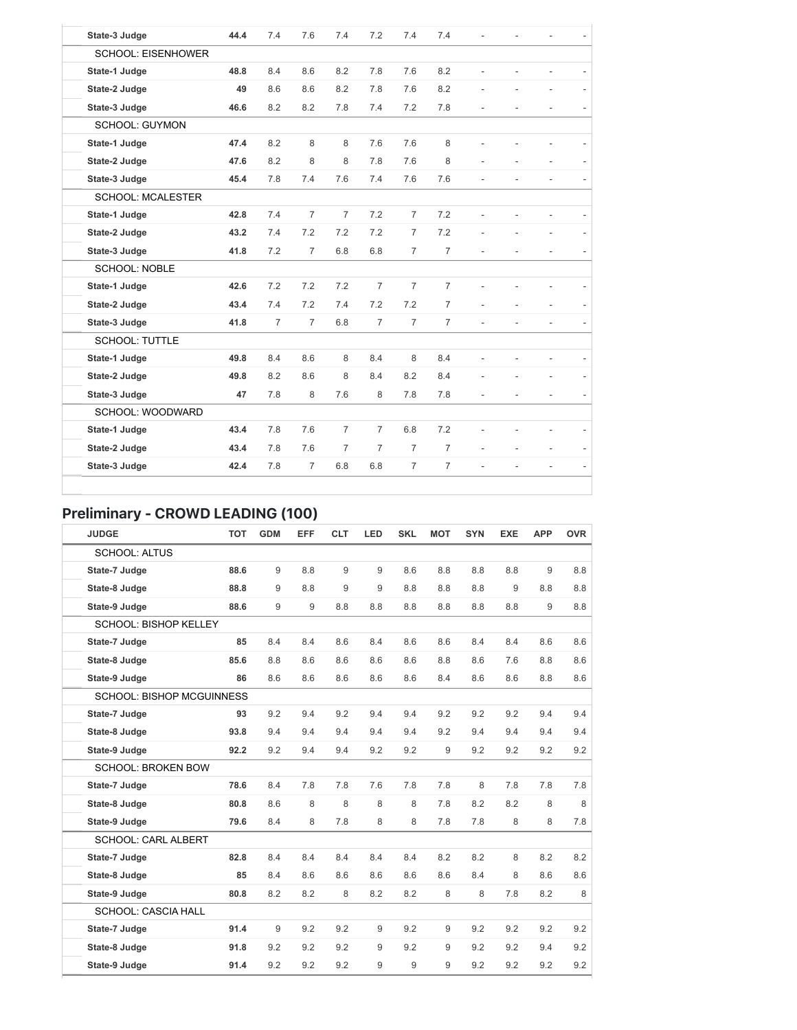| State-3 Judge             | 44.4 | 7.4            | 7.6            | 7.4            | 7.2            | 7.4            | 7.4            |                |                          |                          |                          |
|---------------------------|------|----------------|----------------|----------------|----------------|----------------|----------------|----------------|--------------------------|--------------------------|--------------------------|
| <b>SCHOOL: EISENHOWER</b> |      |                |                |                |                |                |                |                |                          |                          |                          |
| State-1 Judge             | 48.8 | 8.4            | 8.6            | 8.2            | 7.8            | 7.6            | 8.2            | $\overline{a}$ | $\overline{\phantom{m}}$ |                          |                          |
| State-2 Judge             | 49   | 8.6            | 8.6            | 8.2            | 7.8            | 7.6            | 8.2            |                |                          |                          | $\overline{\phantom{a}}$ |
| State-3 Judge             | 46.6 | 8.2            | 8.2            | 7.8            | 7.4            | 7.2            | 7.8            |                |                          |                          |                          |
| <b>SCHOOL: GUYMON</b>     |      |                |                |                |                |                |                |                |                          |                          |                          |
| State-1 Judge             | 47.4 | 8.2            | 8              | 8              | 7.6            | 7.6            | 8              |                |                          |                          |                          |
| State-2 Judge             | 47.6 | 8.2            | 8              | 8              | 7.8            | 7.6            | 8              |                |                          |                          |                          |
| State-3 Judge             | 45.4 | 7.8            | 7.4            | 7.6            | 7.4            | 7.6            | 7.6            | L.             |                          |                          | $\overline{\phantom{a}}$ |
| <b>SCHOOL: MCALESTER</b>  |      |                |                |                |                |                |                |                |                          |                          |                          |
| State-1 Judge             | 42.8 | 7.4            | $\overline{7}$ | $\overline{7}$ | 7.2            | $\overline{7}$ | 7.2            |                |                          |                          |                          |
| State-2 Judge             | 43.2 | 7.4            | 7.2            | 7.2            | 7.2            | $\overline{7}$ | 7.2            |                |                          |                          |                          |
| State-3 Judge             | 41.8 | 7.2            | $\overline{7}$ | 6.8            | 6.8            | $\overline{7}$ | $\overline{7}$ |                |                          |                          |                          |
| <b>SCHOOL: NOBLE</b>      |      |                |                |                |                |                |                |                |                          |                          |                          |
| State-1 Judge             | 42.6 | 7.2            | 7.2            | 7.2            | $\overline{7}$ | $\overline{7}$ | $\overline{7}$ |                |                          |                          |                          |
| State-2 Judge             | 43.4 | 7.4            | 7.2            | 7.4            | 7.2            | 7.2            | $\overline{7}$ |                |                          |                          |                          |
| State-3 Judge             | 41.8 | $\overline{7}$ | $\overline{7}$ | 6.8            | $\overline{7}$ | $\overline{7}$ | $\overline{7}$ | $\overline{a}$ | ä,                       |                          |                          |
| <b>SCHOOL: TUTTLE</b>     |      |                |                |                |                |                |                |                |                          |                          |                          |
| State-1 Judge             | 49.8 | 8.4            | 8.6            | 8              | 8.4            | 8              | 8.4            |                |                          |                          |                          |
| State-2 Judge             | 49.8 | 8.2            | 8.6            | 8              | 8.4            | 8.2            | 8.4            |                |                          |                          |                          |
| State-3 Judge             | 47   | 7.8            | 8              | 7.6            | 8              | 7.8            | 7.8            | $\overline{a}$ | L,                       | $\overline{a}$           |                          |
| SCHOOL: WOODWARD          |      |                |                |                |                |                |                |                |                          |                          |                          |
| State-1 Judge             | 43.4 | 7.8            | 7.6            | $\overline{7}$ | $\overline{7}$ | 6.8            | 7.2            |                |                          |                          |                          |
| State-2 Judge             | 43.4 | 7.8            | 7.6            | $\overline{7}$ | $\overline{7}$ | $\overline{7}$ | $\overline{7}$ |                | $\overline{\phantom{0}}$ |                          |                          |
| State-3 Judge             | 42.4 | 7.8            | $\overline{7}$ | 6.8            | 6.8            | $\overline{7}$ | $\overline{7}$ | $\overline{a}$ | $\overline{\phantom{a}}$ | $\overline{\phantom{a}}$ | $\overline{\phantom{0}}$ |
|                           |      |                |                |                |                |                |                |                |                          |                          |                          |

# Preliminary - CROWD LEADING (100)

| <b>JUDGE</b>                     | <b>TOT</b> | <b>GDM</b> | EFF | <b>CLT</b> | LED | <b>SKL</b> | <b>MOT</b> | <b>SYN</b> | <b>EXE</b> | <b>APP</b> | <b>OVR</b> |
|----------------------------------|------------|------------|-----|------------|-----|------------|------------|------------|------------|------------|------------|
| <b>SCHOOL: ALTUS</b>             |            |            |     |            |     |            |            |            |            |            |            |
| State-7 Judge                    | 88.6       | 9          | 8.8 | 9          | 9   | 8.6        | 8.8        | 8.8        | 8.8        | 9          | 8.8        |
| State-8 Judge                    | 88.8       | 9          | 8.8 | 9          | 9   | 8.8        | 8.8        | 8.8        | 9          | 8.8        | 8.8        |
| State-9 Judge                    | 88.6       | 9          | 9   | 8.8        | 8.8 | 8.8        | 8.8        | 8.8        | 8.8        | 9          | 8.8        |
| <b>SCHOOL: BISHOP KELLEY</b>     |            |            |     |            |     |            |            |            |            |            |            |
| State-7 Judge                    | 85         | 8.4        | 8.4 | 8.6        | 8.4 | 8.6        | 8.6        | 8.4        | 8.4        | 8.6        | 8.6        |
| State-8 Judge                    | 85.6       | 8.8        | 8.6 | 8.6        | 8.6 | 8.6        | 8.8        | 8.6        | 7.6        | 8.8        | 8.6        |
| State-9 Judge                    | 86         | 8.6        | 8.6 | 8.6        | 8.6 | 8.6        | 8.4        | 8.6        | 8.6        | 8.8        | 8.6        |
| <b>SCHOOL: BISHOP MCGUINNESS</b> |            |            |     |            |     |            |            |            |            |            |            |
| State-7 Judge                    | 93         | 9.2        | 9.4 | 9.2        | 9.4 | 9.4        | 9.2        | 9.2        | 9.2        | 9.4        | 9.4        |
| State-8 Judge                    | 93.8       | 9.4        | 9.4 | 9.4        | 9.4 | 9.4        | 9.2        | 9.4        | 9.4        | 9.4        | 9.4        |
| State-9 Judge                    | 92.2       | 9.2        | 9.4 | 9.4        | 9.2 | 9.2        | 9          | 9.2        | 9.2        | 9.2        | 9.2        |
| <b>SCHOOL: BROKEN BOW</b>        |            |            |     |            |     |            |            |            |            |            |            |
| State-7 Judge                    | 78.6       | 8.4        | 7.8 | 7.8        | 7.6 | 7.8        | 7.8        | 8          | 7.8        | 7.8        | 7.8        |
| State-8 Judge                    | 80.8       | 8.6        | 8   | 8          | 8   | 8          | 7.8        | 8.2        | 8.2        | 8          | 8          |
| State-9 Judge                    | 79.6       | 8.4        | 8   | 7.8        | 8   | 8          | 7.8        | 7.8        | 8          | 8          | 7.8        |
| <b>SCHOOL: CARL ALBERT</b>       |            |            |     |            |     |            |            |            |            |            |            |
| State-7 Judge                    | 82.8       | 8.4        | 8.4 | 8.4        | 8.4 | 8.4        | 8.2        | 8.2        | 8          | 8.2        | 8.2        |
| State-8 Judge                    | 85         | 8.4        | 8.6 | 8.6        | 8.6 | 8.6        | 8.6        | 8.4        | 8          | 8.6        | 8.6        |
| State-9 Judge                    | 80.8       | 8.2        | 8.2 | 8          | 8.2 | 8.2        | 8          | 8          | 7.8        | 8.2        | 8          |
| <b>SCHOOL: CASCIA HALL</b>       |            |            |     |            |     |            |            |            |            |            |            |
| State-7 Judge                    | 91.4       | 9          | 9.2 | 9.2        | 9   | 9.2        | 9          | 9.2        | 9.2        | 9.2        | 9.2        |
| State-8 Judge                    | 91.8       | 9.2        | 9.2 | 9.2        | 9   | 9.2        | 9          | 9.2        | 9.2        | 9.4        | 9.2        |
| State-9 Judge                    | 91.4       | 9.2        | 9.2 | 9.2        | 9   | 9          | 9          | 9.2        | 9.2        | 9.2        | 9.2        |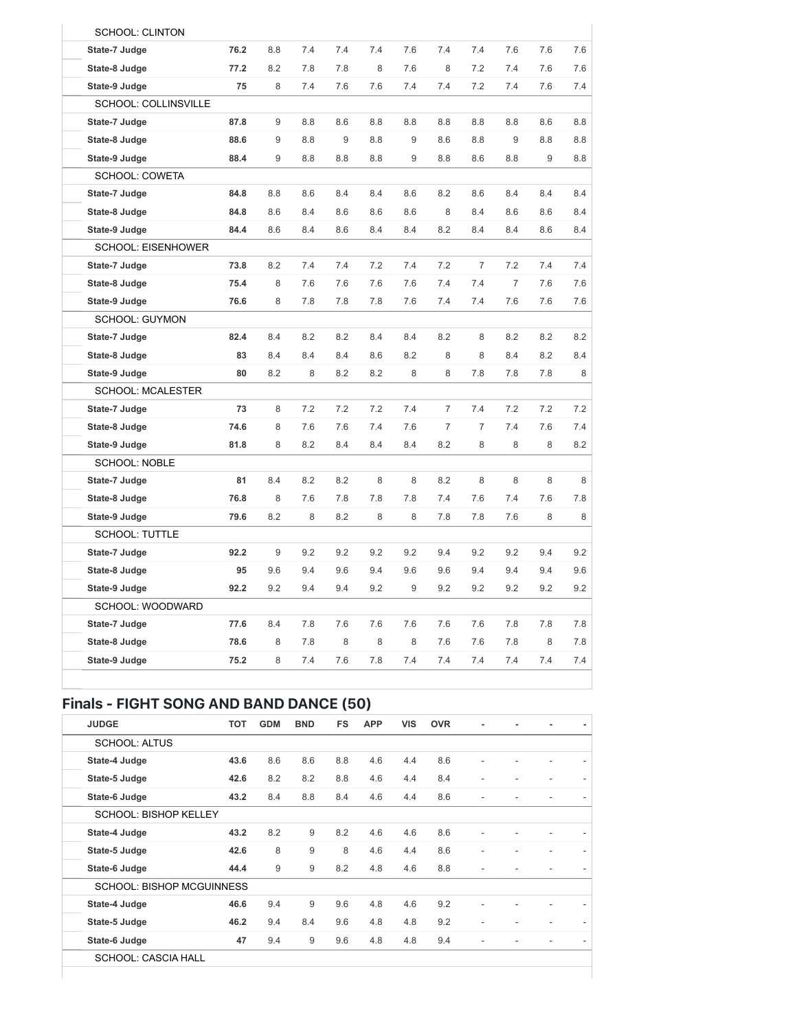| <b>SCHOOL: CLINTON</b>    |      |     |     |     |     |     |     |                |                |     |     |
|---------------------------|------|-----|-----|-----|-----|-----|-----|----------------|----------------|-----|-----|
| State-7 Judge             | 76.2 | 8.8 | 7.4 | 7.4 | 7.4 | 7.6 | 7.4 | 7.4            | 7.6            | 7.6 | 7.6 |
| State-8 Judge             | 77.2 | 8.2 | 7.8 | 7.8 | 8   | 7.6 | 8   | 7.2            | 7.4            | 7.6 | 7.6 |
| State-9 Judge             | 75   | 8   | 7.4 | 7.6 | 7.6 | 7.4 | 7.4 | 7.2            | 7.4            | 7.6 | 7.4 |
| SCHOOL: COLLINSVILLE      |      |     |     |     |     |     |     |                |                |     |     |
| State-7 Judge             | 87.8 | 9   | 8.8 | 8.6 | 8.8 | 8.8 | 8.8 | 8.8            | 8.8            | 8.6 | 8.8 |
| State-8 Judge             | 88.6 | 9   | 8.8 | 9   | 8.8 | 9   | 8.6 | 8.8            | 9              | 8.8 | 8.8 |
| State-9 Judge             | 88.4 | 9   | 8.8 | 8.8 | 8.8 | 9   | 8.8 | 8.6            | 8.8            | 9   | 8.8 |
| SCHOOL: COWETA            |      |     |     |     |     |     |     |                |                |     |     |
| State-7 Judge             | 84.8 | 8.8 | 8.6 | 8.4 | 8.4 | 8.6 | 8.2 | 8.6            | 8.4            | 8.4 | 8.4 |
| State-8 Judge             | 84.8 | 8.6 | 8.4 | 8.6 | 8.6 | 8.6 | 8   | 8.4            | 8.6            | 8.6 | 8.4 |
| State-9 Judge             | 84.4 | 8.6 | 8.4 | 8.6 | 8.4 | 8.4 | 8.2 | 8.4            | 8.4            | 8.6 | 8.4 |
| <b>SCHOOL: EISENHOWER</b> |      |     |     |     |     |     |     |                |                |     |     |
| State-7 Judge             | 73.8 | 8.2 | 7.4 | 7.4 | 7.2 | 7.4 | 7.2 | $\overline{7}$ | 7.2            | 7.4 | 7.4 |
| State-8 Judge             | 75.4 | 8   | 7.6 | 7.6 | 7.6 | 7.6 | 7.4 | 7.4            | $\overline{7}$ | 7.6 | 7.6 |
| State-9 Judge             | 76.6 | 8   | 7.8 | 7.8 | 7.8 | 7.6 | 7.4 | 7.4            | 7.6            | 7.6 | 7.6 |
| <b>SCHOOL: GUYMON</b>     |      |     |     |     |     |     |     |                |                |     |     |
| State-7 Judge             | 82.4 | 8.4 | 8.2 | 8.2 | 8.4 | 8.4 | 8.2 | 8              | 8.2            | 8.2 | 8.2 |
| State-8 Judge             | 83   | 8.4 | 8.4 | 8.4 | 8.6 | 8.2 | 8   | 8              | 8.4            | 8.2 | 8.4 |
| State-9 Judge             | 80   | 8.2 | 8   | 8.2 | 8.2 | 8   | 8   | 7.8            | 7.8            | 7.8 | 8   |
| <b>SCHOOL: MCALESTER</b>  |      |     |     |     |     |     |     |                |                |     |     |
| State-7 Judge             | 73   | 8   | 7.2 | 7.2 | 7.2 | 7.4 | 7   | 7.4            | 7.2            | 7.2 | 7.2 |
| State-8 Judge             | 74.6 | 8   | 7.6 | 7.6 | 7.4 | 7.6 | 7   | $\overline{7}$ | 7.4            | 7.6 | 7.4 |
| State-9 Judge             | 81.8 | 8   | 8.2 | 8.4 | 8.4 | 8.4 | 8.2 | 8              | 8              | 8   | 8.2 |
| <b>SCHOOL: NOBLE</b>      |      |     |     |     |     |     |     |                |                |     |     |
| State-7 Judge             | 81   | 8.4 | 8.2 | 8.2 | 8   | 8   | 8.2 | 8              | 8              | 8   | 8   |
| State-8 Judge             | 76.8 | 8   | 7.6 | 7.8 | 7.8 | 7.8 | 7.4 | 7.6            | 7.4            | 7.6 | 7.8 |
| State-9 Judge             | 79.6 | 8.2 | 8   | 8.2 | 8   | 8   | 7.8 | 7.8            | 7.6            | 8   | 8   |
| <b>SCHOOL: TUTTLE</b>     |      |     |     |     |     |     |     |                |                |     |     |
| State-7 Judge             | 92.2 | 9   | 9.2 | 9.2 | 9.2 | 9.2 | 9.4 | 9.2            | 9.2            | 9.4 | 9.2 |
| State-8 Judge             | 95   | 9.6 | 9.4 | 9.6 | 9.4 | 9.6 | 9.6 | 9.4            | 9.4            | 9.4 | 9.6 |
| State-9 Judge             | 92.2 | 9.2 | 9.4 | 9.4 | 9.2 | 9   | 9.2 | 9.2            | 9.2            | 9.2 | 9.2 |
| SCHOOL: WOODWARD          |      |     |     |     |     |     |     |                |                |     |     |
| State-7 Judge             | 77.6 | 8.4 | 7.8 | 7.6 | 7.6 | 7.6 | 7.6 | 7.6            | 7.8            | 7.8 | 7.8 |
| State-8 Judge             | 78.6 | 8   | 7.8 | 8   | 8   | 8   | 7.6 | 7.6            | 7.8            | 8   | 7.8 |
| State-9 Judge             | 75.2 | 8   | 7.4 | 7.6 | 7.8 | 7.4 | 7.4 | 7.4            | 7.4            | 7.4 | 7.4 |
|                           |      |     |     |     |     |     |     |                |                |     |     |

## Finals - FIGHT SONG AND BAND DANCE (50)

| <b>JUDGE</b>                     | <b>TOT</b> | <b>GDM</b> | <b>BND</b> | <b>FS</b> | <b>APP</b> | <b>VIS</b> | <b>OVR</b> |                |  |  |
|----------------------------------|------------|------------|------------|-----------|------------|------------|------------|----------------|--|--|
| <b>SCHOOL: ALTUS</b>             |            |            |            |           |            |            |            |                |  |  |
| State-4 Judge                    | 43.6       | 8.6        | 8.6        | 8.8       | 4.6        | 4.4        | 8.6        | $\overline{a}$ |  |  |
| State-5 Judge                    | 42.6       | 8.2        | 8.2        | 8.8       | 4.6        | 4.4        | 8.4        | ۳              |  |  |
| State-6 Judge                    | 43.2       | 8.4        | 8.8        | 8.4       | 4.6        | 4.4        | 8.6        |                |  |  |
| <b>SCHOOL: BISHOP KELLEY</b>     |            |            |            |           |            |            |            |                |  |  |
| State-4 Judge                    | 43.2       | 8.2        | 9          | 8.2       | 4.6        | 4.6        | 8.6        |                |  |  |
| State-5 Judge                    | 42.6       | 8          | 9          | 8         | 4.6        | 4.4        | 8.6        | ٠              |  |  |
| State-6 Judge                    | 44.4       | 9          | 9          | 8.2       | 4.8        | 4.6        | 8.8        |                |  |  |
| <b>SCHOOL: BISHOP MCGUINNESS</b> |            |            |            |           |            |            |            |                |  |  |
| State-4 Judge                    | 46.6       | 9.4        | 9          | 9.6       | 4.8        | 4.6        | 9.2        |                |  |  |
| State-5 Judge                    | 46.2       | 9.4        | 8.4        | 9.6       | 4.8        | 4.8        | 9.2        | ٠              |  |  |
| State-6 Judge                    | 47         | 9.4        | 9          | 9.6       | 4.8        | 4.8        | 9.4        |                |  |  |

SCHOOL: CASCIA HALL